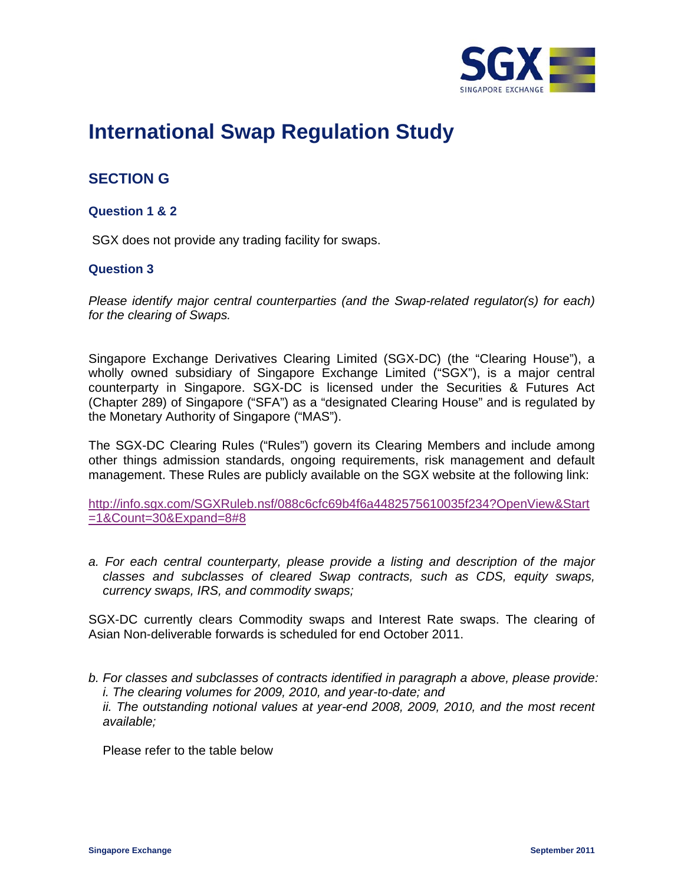

# **International Swap Regulation Study**

# **SECTION G**

# **Question 1 & 2**

SGX does not provide any trading facility for swaps.

## **Question 3**

*Please identify major central counterparties (and the Swap-related regulator(s) for each) for the clearing of Swaps.* 

Singapore Exchange Derivatives Clearing Limited (SGX-DC) (the "Clearing House"), a wholly owned subsidiary of Singapore Exchange Limited ("SGX"), is a major central counterparty in Singapore. SGX-DC is licensed under the Securities & Futures Act (Chapter 289) of Singapore ("SFA") as a "designated Clearing House" and is regulated by the Monetary Authority of Singapore ("MAS").

The SGX-DC Clearing Rules ("Rules") govern its Clearing Members and include among other things admission standards, ongoing requirements, risk management and default management. These Rules are publicly available on the SGX website at the following link:

http://info.sgx.com/SGXRuleb.nsf/088c6cfc69b4f6a4482575610035f234?OpenView&Start =1&Count=30&Expand=8#8

*a. For each central counterparty, please provide a listing and description of the major classes and subclasses of cleared Swap contracts, such as CDS, equity swaps, currency swaps, IRS, and commodity swaps;* 

SGX-DC currently clears Commodity swaps and Interest Rate swaps. The clearing of Asian Non-deliverable forwards is scheduled for end October 2011.

*b. For classes and subclasses of contracts identified in paragraph a above, please provide: i. The clearing volumes for 2009, 2010, and year-to-date; and ii. The outstanding notional values at year-end 2008, 2009, 2010, and the most recent available;* 

Please refer to the table below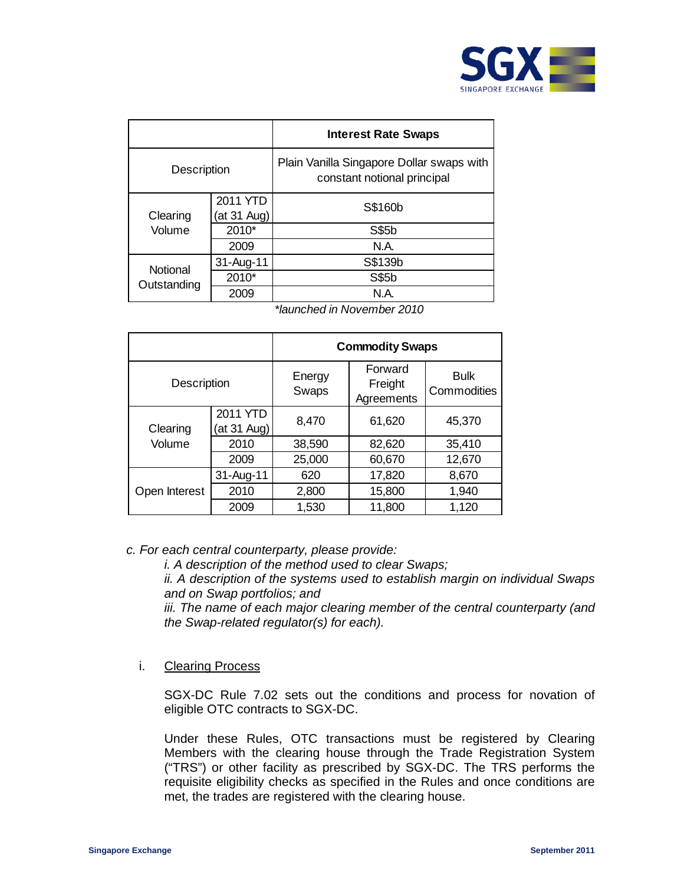

|                    |                         | <b>Interest Rate Swaps</b>                                               |
|--------------------|-------------------------|--------------------------------------------------------------------------|
| <b>Description</b> |                         | Plain Vanilla Singapore Dollar swaps with<br>constant notional principal |
| Clearing<br>Volume | 2011 YTD<br>(at 31 Aug) | S\$160b                                                                  |
|                    | 2010*                   | S\$5b                                                                    |
|                    | 2009                    | N.A.                                                                     |
| Notional           | 31-Aug-11               | S\$139b                                                                  |
| Outstanding        | 2010*                   | S\$5b                                                                    |
|                    | 2009                    | N.A.                                                                     |

*\*launched in November 2010*

|                    |                         |                 | <b>Commodity Swaps</b>           |                            |
|--------------------|-------------------------|-----------------|----------------------------------|----------------------------|
| <b>Description</b> |                         | Energy<br>Swaps | Forward<br>Freight<br>Agreements | <b>Bulk</b><br>Commodities |
| Clearing           | 2011 YTD<br>(at 31 Aug) | 8,470           | 61,620                           | 45,370                     |
| Volume             | 2010                    | 38,590          | 82,620                           | 35,410                     |
|                    | 2009                    | 25,000          | 60,670                           | 12,670                     |
|                    | 31-Aug-11               | 620             | 17,820                           | 8,670                      |
| Open Interest      | 2010                    | 2,800           | 15,800                           | 1,940                      |
|                    | 2009                    | 1,530           | 11,800                           | 1,120                      |

## *c. For each central counterparty, please provide:*

*i. A description of the method used to clear Swaps;* 

*ii. A description of the systems used to establish margin on individual Swaps and on Swap portfolios; and* 

*iii. The name of each major clearing member of the central counterparty (and the Swap-related regulator(s) for each).* 

#### i. Clearing Process

SGX-DC Rule 7.02 sets out the conditions and process for novation of eligible OTC contracts to SGX-DC.

Under these Rules, OTC transactions must be registered by Clearing Members with the clearing house through the Trade Registration System ("TRS") or other facility as prescribed by SGX-DC. The TRS performs the requisite eligibility checks as specified in the Rules and once conditions are met, the trades are registered with the clearing house.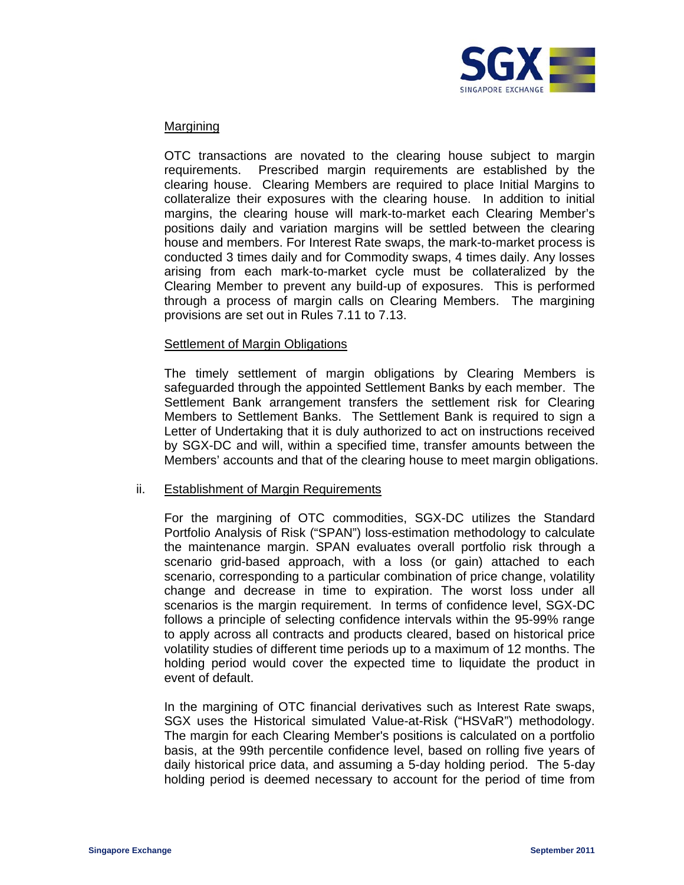

#### Margining

OTC transactions are novated to the clearing house subject to margin requirements. Prescribed margin requirements are established by the clearing house. Clearing Members are required to place Initial Margins to collateralize their exposures with the clearing house. In addition to initial margins, the clearing house will mark-to-market each Clearing Member's positions daily and variation margins will be settled between the clearing house and members. For Interest Rate swaps, the mark-to-market process is conducted 3 times daily and for Commodity swaps, 4 times daily. Any losses arising from each mark-to-market cycle must be collateralized by the Clearing Member to prevent any build-up of exposures. This is performed through a process of margin calls on Clearing Members. The margining provisions are set out in Rules 7.11 to 7.13.

#### Settlement of Margin Obligations

The timely settlement of margin obligations by Clearing Members is safeguarded through the appointed Settlement Banks by each member. The Settlement Bank arrangement transfers the settlement risk for Clearing Members to Settlement Banks. The Settlement Bank is required to sign a Letter of Undertaking that it is duly authorized to act on instructions received by SGX-DC and will, within a specified time, transfer amounts between the Members' accounts and that of the clearing house to meet margin obligations.

#### ii. Establishment of Margin Requirements

For the margining of OTC commodities, SGX-DC utilizes the Standard Portfolio Analysis of Risk ("SPAN") loss-estimation methodology to calculate the maintenance margin. SPAN evaluates overall portfolio risk through a scenario grid-based approach, with a loss (or gain) attached to each scenario, corresponding to a particular combination of price change, volatility change and decrease in time to expiration. The worst loss under all scenarios is the margin requirement. In terms of confidence level, SGX-DC follows a principle of selecting confidence intervals within the 95-99% range to apply across all contracts and products cleared, based on historical price volatility studies of different time periods up to a maximum of 12 months. The holding period would cover the expected time to liquidate the product in event of default.

In the margining of OTC financial derivatives such as Interest Rate swaps, SGX uses the Historical simulated Value-at-Risk ("HSVaR") methodology. The margin for each Clearing Member's positions is calculated on a portfolio basis, at the 99th percentile confidence level, based on rolling five years of daily historical price data, and assuming a 5-day holding period. The 5-day holding period is deemed necessary to account for the period of time from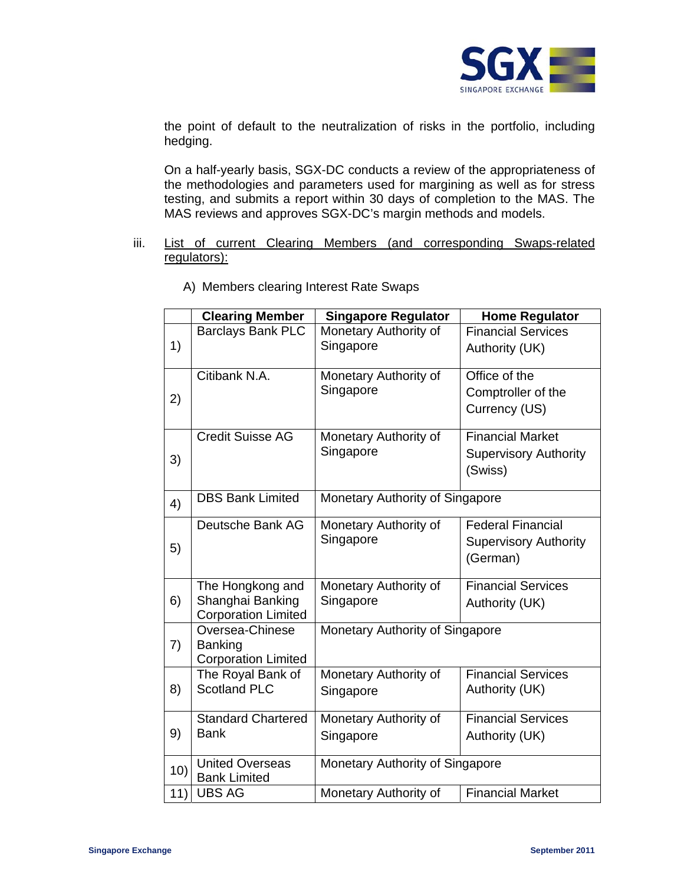

the point of default to the neutralization of risks in the portfolio, including hedging.

On a half-yearly basis, SGX-DC conducts a review of the appropriateness of the methodologies and parameters used for margining as well as for stress testing, and submits a report within 30 days of completion to the MAS. The MAS reviews and approves SGX-DC's margin methods and models.

### iii. List of current Clearing Members (and corresponding Swaps-related regulators):

|                 | <b>Clearing Member</b>                                    | <b>Singapore Regulator</b>      | <b>Home Regulator</b>           |  |
|-----------------|-----------------------------------------------------------|---------------------------------|---------------------------------|--|
|                 | <b>Barclays Bank PLC</b>                                  | Monetary Authority of           | <b>Financial Services</b>       |  |
| 1)              |                                                           | Singapore                       | Authority (UK)                  |  |
|                 | Citibank N.A.                                             | Monetary Authority of           | Office of the                   |  |
| 2)              |                                                           | Singapore                       | Comptroller of the              |  |
|                 |                                                           |                                 | Currency (US)                   |  |
|                 | <b>Credit Suisse AG</b>                                   | Monetary Authority of           | <b>Financial Market</b>         |  |
| 3)              |                                                           | Singapore                       | <b>Supervisory Authority</b>    |  |
|                 |                                                           |                                 | (Swiss)                         |  |
| 4)              | <b>DBS Bank Limited</b>                                   | Monetary Authority of Singapore |                                 |  |
|                 | Deutsche Bank AG                                          | Monetary Authority of           | <b>Federal Financial</b>        |  |
| 5)              |                                                           | Singapore                       | <b>Supervisory Authority</b>    |  |
|                 |                                                           |                                 | (German)                        |  |
|                 | The Hongkong and                                          | Monetary Authority of           | <b>Financial Services</b>       |  |
| 6)              | Shanghai Banking<br><b>Corporation Limited</b>            | Singapore                       | Authority (UK)                  |  |
| Oversea-Chinese |                                                           |                                 | Monetary Authority of Singapore |  |
| 7)              | <b>Banking</b>                                            |                                 |                                 |  |
|                 | <b>Corporation Limited</b>                                |                                 |                                 |  |
|                 | The Royal Bank of<br><b>Scotland PLC</b>                  | Monetary Authority of           | <b>Financial Services</b>       |  |
| 8)              |                                                           | Singapore                       | Authority (UK)                  |  |
|                 | <b>Standard Chartered</b>                                 | Monetary Authority of           | <b>Financial Services</b>       |  |
| 9)              | <b>Bank</b>                                               | Singapore                       | Authority (UK)                  |  |
| 10)             | Monetary Authority of Singapore<br><b>United Overseas</b> |                                 |                                 |  |
|                 | <b>Bank Limited</b><br><b>UBS AG</b>                      | Monetary Authority of           | <b>Financial Market</b>         |  |
| 11)             |                                                           |                                 |                                 |  |

A) Members clearing Interest Rate Swaps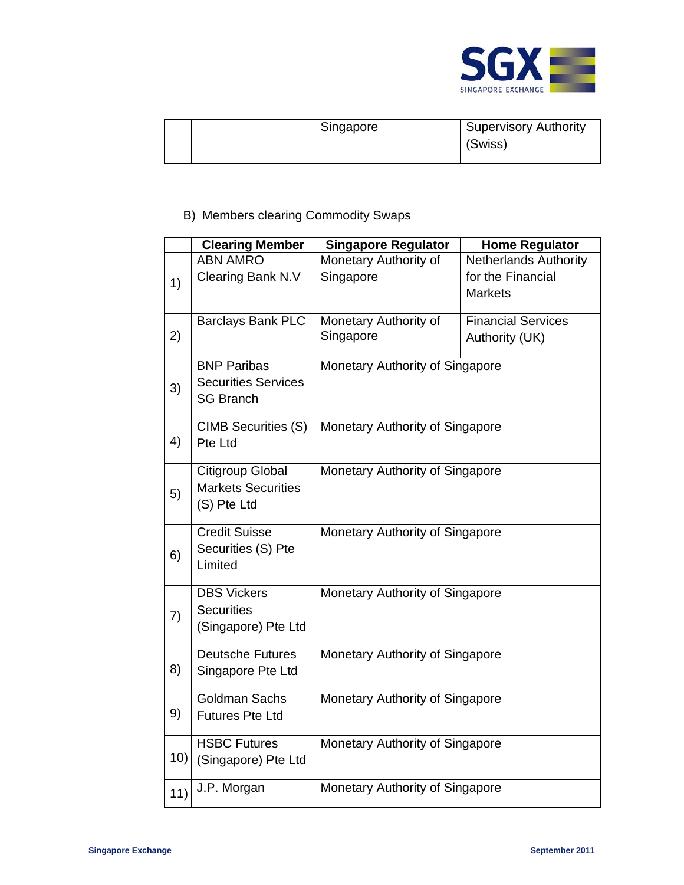

|  | Singapore | Supervisory Authority<br>(Swiss) |
|--|-----------|----------------------------------|
|  |           |                                  |

# B) Members clearing Commodity Swaps

|     | <b>Clearing Member</b>                                | <b>Singapore Regulator</b>      | <b>Home Regulator</b>        |
|-----|-------------------------------------------------------|---------------------------------|------------------------------|
|     | <b>ABN AMRO</b>                                       | Monetary Authority of           | <b>Netherlands Authority</b> |
| 1)  | Clearing Bank N.V                                     | Singapore                       | for the Financial            |
|     |                                                       |                                 | <b>Markets</b>               |
|     | <b>Barclays Bank PLC</b>                              | Monetary Authority of           | <b>Financial Services</b>    |
| 2)  |                                                       | Singapore                       | Authority (UK)               |
|     |                                                       |                                 |                              |
|     | <b>BNP Paribas</b>                                    | Monetary Authority of Singapore |                              |
| 3)  | <b>Securities Services</b>                            |                                 |                              |
|     | <b>SG Branch</b>                                      |                                 |                              |
|     | <b>CIMB Securities (S)</b>                            | Monetary Authority of Singapore |                              |
| 4)  | Pte Ltd                                               |                                 |                              |
|     |                                                       |                                 |                              |
|     | Citigroup Global<br>Monetary Authority of Singapore   |                                 |                              |
| 5)  | <b>Markets Securities</b>                             |                                 |                              |
|     | (S) Pte Ltd                                           |                                 |                              |
|     | <b>Credit Suisse</b>                                  | Monetary Authority of Singapore |                              |
|     | Securities (S) Pte                                    |                                 |                              |
| 6)  | Limited                                               |                                 |                              |
|     |                                                       |                                 |                              |
|     | <b>DBS Vickers</b><br>Monetary Authority of Singapore |                                 |                              |
| 7)  | <b>Securities</b>                                     |                                 |                              |
|     | (Singapore) Pte Ltd                                   |                                 |                              |
|     | <b>Deutsche Futures</b>                               | Monetary Authority of Singapore |                              |
| 8)  | Singapore Pte Ltd                                     |                                 |                              |
|     |                                                       |                                 |                              |
|     | <b>Goldman Sachs</b>                                  | Monetary Authority of Singapore |                              |
| 9)  | <b>Futures Pte Ltd</b>                                |                                 |                              |
|     | <b>HSBC Futures</b>                                   | Monetary Authority of Singapore |                              |
| 10) | (Singapore) Pte Ltd                                   |                                 |                              |
|     |                                                       |                                 |                              |
| 11) | J.P. Morgan                                           | Monetary Authority of Singapore |                              |
|     |                                                       |                                 |                              |